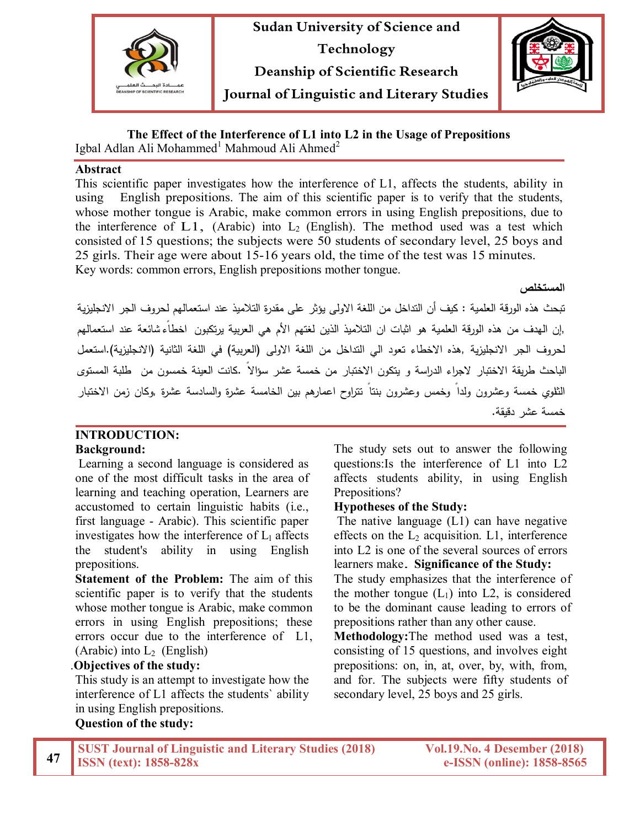



**The Effect of the Interference of L1 into L2 in the Usage of Prepositions**

Igbal Adlan Ali Mohammed<sup>1</sup> Mahmoud Ali Ahmed<sup>2</sup>

#### **Abstract**

This scientific paper investigates how the interference of L1, affects the students, ability in using English prepositions. The aim of this scientific paper is to verify that the students, whose mother tongue is Arabic, make common errors in using English prepositions, due to the interference of L1, (Arabic) into  $L_2$  (English). The method used was a test which consisted of 15 questions; the subjects were 50 students of secondary level, 25 boys and 25 girls. Their age were about 15-16 years old, the time of the test was 15 minutes. Key words: common errors, English prepositions mother tongue.

**المستخلص** 

تبحث هذه الورقة العلمیة : كیف أن التداخل من اللغة الاولى یؤثر على مقدرة التلامیذ عند استعمالهم لحروف الجر الانجلیزیة ,إن الهدف من هذه الورقة العلمیة هو اثبات ان التلامیذ الذین لغتهم الأم هي العربیة یرتكبون اخطاءً شائعة عند استعمالهم لحروف الجر الانجلیزیة ,هذه الاخطاء تعود الي التداخل من اللغة الاولى (العربیة) في اللغة الثانیة (الانجلیزیة).استعمل الباحث طریقة الاختبار لاجراء الدراسة و یتكون الاختبار من خمسة عشر سؤالاً .كانت العینة خمسون من طلبة المستوى الثانوي خمسة وعشرون ولداً وخمس وعشرون بنتاً تتراوح اعمارهم بین الخامسة عشرة والسادسة عشرة ,وكان زمن الاختبار خمسة عشر دقیقة.

#### **INTRODUCTION: Background:**

Learning a second language is considered as one of the most difficult tasks in the area of learning and teaching operation, Learners are accustomed to certain linguistic habits (i.e., first language - Arabic). This scientific paper investigates how the interference of  $L_1$  affects the student's ability in using English prepositions.

**Statement of the Problem:** The aim of this scientific paper is to verify that the students whose mother tongue is Arabic, make common errors in using English prepositions; these errors occur due to the interference of L1, (Arabic) into  $L_2$  (English)

### .**Objectives of the study:**

This study is an attempt to investigate how the interference of L1 affects the students` ability in using English prepositions. **Question of the study:**

The study sets out to answer the following questions:Is the interference of L1 into L2 affects students ability, in using English Prepositions?

## **Hypotheses of the Study:**

The native language (L1) can have negative effects on the  $L_2$  acquisition. L1, interference into L2 is one of the several sources of errors learners make. **Significance of the Study:** 

The study emphasizes that the interference of the mother tongue  $(L_1)$  into L2, is considered to be the dominant cause leading to errors of prepositions rather than any other cause.

**Methodology:**The method used was a test, consisting of 15 questions, and involves eight prepositions: on, in, at, over, by, with, from, and for. The subjects were fifty students of secondary level, 25 boys and 25 girls.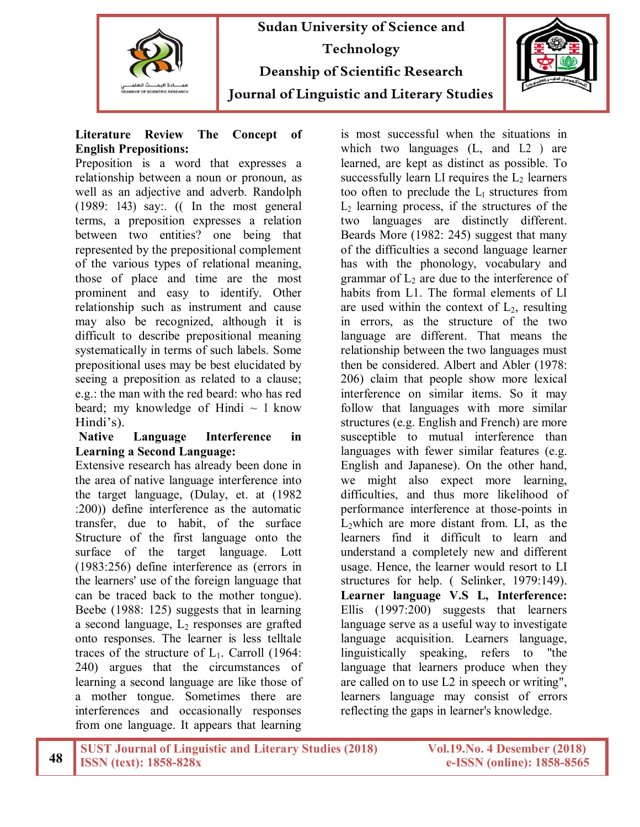



### **Literature Review The Concept of English Prepositions:**

Preposition is a word that expresses a relationship between a noun or pronoun, as well as an adjective and adverb. Randolph (1989: 143) say:. (( In the most general terms, a preposition expresses a relation between two entities? one being that represented by the prepositional complement of the various types of relational meaning, those of place and time are the most prominent and easy to identify. Other relationship such as instrument and cause may also be recognized, although it is difficult to describe prepositional meaning systematically in terms of such labels. Some prepositional uses may be best elucidated by seeing a preposition as related to a clause; e.g.: the man with the red beard: who has red beard; my knowledge of Hindi  $\sim$  I know Hindi's).

### **Native Language Interference in Learning a Second Language:**

Extensive research has already been done in the area of native language interference into the target language, (Dulay, et. at (1982 :200)) define interference as the automatic transfer, due to habit, of the surface Structure of the first language onto the surface of the target language. Lott (1983:256) define interference as (errors in the learners' use of the foreign language that can be traced back to the mother tongue). Beebe (1988: 125) suggests that in learning a second language,  $L_2$  responses are grafted onto responses. The learner is less telltale traces of the structure of  $L_1$ . Carroll (1964: 240) argues that the circumstances of learning a second language are like those of a mother tongue. Sometimes there are interferences and occasionally responses from one language. It appears that learning is most successful when the situations in which two languages (L, and L2) are learned, are kept as distinct as possible. To successfully learn LI requires the  $L_2$  learners too often to preclude the  $L_1$  structures from  $L<sub>2</sub>$  learning process, if the structures of the two languages are distinctly different. Beards More (1982: 245) suggest that many of the difficulties a second language learner has with the phonology, vocabulary and grammar of  $L<sub>2</sub>$  are due to the interference of habits from L1. The formal elements of LI are used within the context of  $L_2$ , resulting in errors, as the structure of the two language are different. That means the relationship between the two languages must then be considered. Albert and Abler (1978: 206) claim that people show more lexical interference on similar items. So it may follow that languages with more similar structures (e.g. English and French) are more susceptible to mutual interference than languages with fewer similar features (e.g. English and Japanese). On the other hand, we might also expect more learning, difficulties, and thus more likelihood of performance interference at those-points in L2which are more distant from. LI, as the learners find it difficult to learn and understand a completely new and different usage. Hence, the learner would resort to LI structures for help. ( Selinker, 1979:149). **Learner language V.S L, Interference:**  Ellis (1997:200) suggests that learners language serve as a useful way to investigate language acquisition. Learners language, linguistically speaking, refers to "the language that learners produce when they are called on to use L2 in speech or writing", learners language may consist of errors reflecting the gaps in learner's knowledge.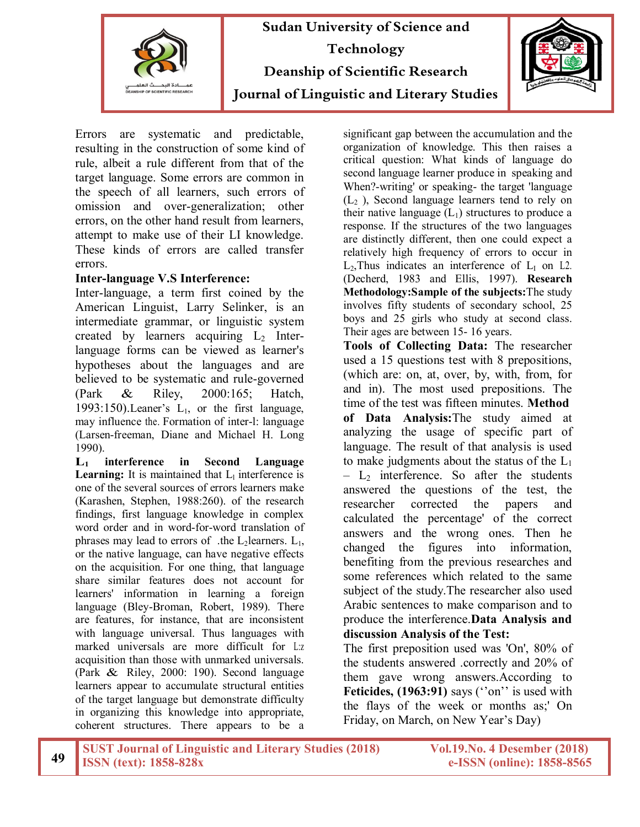



Errors are systematic and predictable, resulting in the construction of some kind of rule, albeit a rule different from that of the target language. Some errors are common in the speech of all learners, such errors of omission and over-generalization; other errors, on the other hand result from learners, attempt to make use of their LI knowledge. These kinds of errors are called transfer errors.

#### **Inter-language V.S Interference:**

Inter-language, a term first coined by the American Linguist, Larry Selinker, is an intermediate grammar, or linguistic system created by learners acquiring  $L_2$  Interlanguage forms can be viewed as learner's hypotheses about the languages and are believed to be systematic and rule-governed (Park & Riley, 2000:165; Hatch, 1993:150). Leaner's  $L_1$ , or the first language, may influence the. Formation of inter-l: language (Larsen-freeman, Diane and Michael H. Long 1990).

**L<sup>1</sup> interference in Second Language Learning:** It is maintained that  $L_1$  interference is one of the several sources of errors learners make (Karashen, Stephen, 1988:260). of the research findings, first language knowledge in complex word order and in word-for-word translation of phrases may lead to errors of .the L<sub>2</sub>learners. L<sub>1</sub>, or the native language, can have negative effects on the acquisition. For one thing, that language share similar features does not account for learners' information in learning a foreign language (Bley-Broman, Robert, 1989). There are features, for instance, that are inconsistent with language universal. Thus languages with marked universals are more difficult for L:z acquisition than those with unmarked universals. (Park & Riley, 2000: 190). Second language learners appear to accumulate structural entities of the target language but demonstrate difficulty in organizing this knowledge into appropriate, coherent structures. There appears to be a

significant gap between the accumulation and the organization of knowledge. This then raises a critical question: What kinds of language do second language learner produce in speaking and When?-writing' or speaking- the target 'language  $(L<sub>2</sub>)$ , Second language learners tend to rely on their native language  $(L_1)$  structures to produce a response. If the structures of the two languages are distinctly different, then one could expect a relatively high frequency of errors to occur in  $L_2$ , Thus indicates an interference of  $L_1$  on L2. (Decherd, 1983 and Ellis, 1997). **Research Methodology:Sample of the subjects:**The study involves fifty students of secondary school, 25 boys and 25 girls who study at second class. Their ages are between 15- 16 years.

**Tools of Collecting Data:** The researcher used a 15 questions test with 8 prepositions, (which are: on, at, over, by, with, from, for and in). The most used prepositions. The time of the test was fifteen minutes. **Method of Data Analysis:**The study aimed at analyzing the usage of specific part of language. The result of that analysis is used to make judgments about the status of the  $L_1$  $-$  L<sub>2</sub> interference. So after the students answered the questions of the test, the researcher corrected the papers and calculated the percentage' of the correct answers and the wrong ones. Then he changed the figures into information, benefiting from the previous researches and some references which related to the same subject of the study.The researcher also used Arabic sentences to make comparison and to produce the interference.**Data Analysis and discussion Analysis of the Test:**

The first preposition used was 'On', 80% of the students answered .correctly and 20% of them gave wrong answers.According to Feticides, (1963:91) says ("on" is used with the flays of the week or months as;' On Friday, on March, on New Year's Day)

|  | <b>SUST Journal of Linguistic and Literary Studies (2018)</b> |
|--|---------------------------------------------------------------|
|  | $19$ SSSN (text): 1858-828x                                   |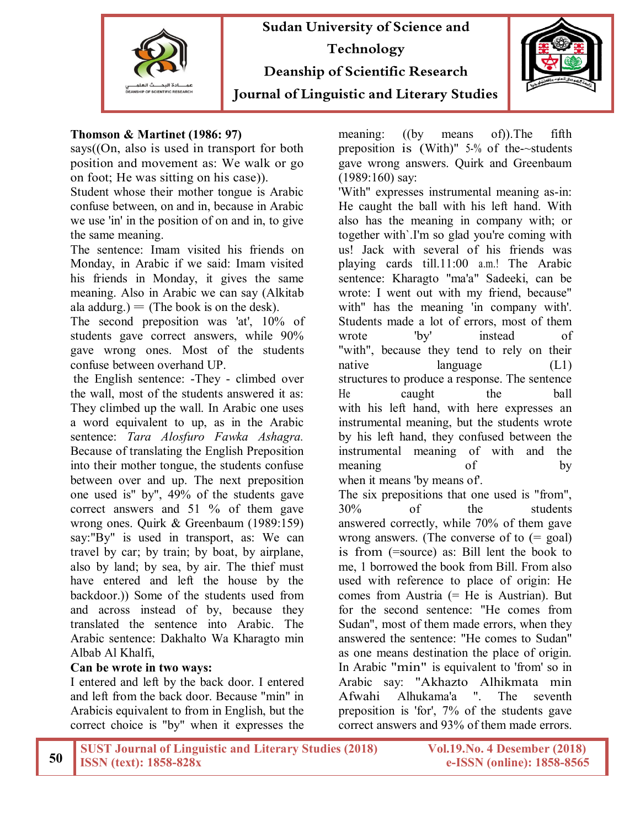



#### **Thomson & Martinet (1986: 97)**

says((On, also is used in transport for both position and movement as: We walk or go on foot; He was sitting on his case)).

Student whose their mother tongue is Arabic confuse between, on and in, because in Arabic we use 'in' in the position of on and in, to give the same meaning.

The sentence: Imam visited his friends on Monday, in Arabic if we said: Imam visited his friends in Monday, it gives the same meaning. Also in Arabic we can say (Alkitab ala addurg.)  $=$  (The book is on the desk).

The second preposition was 'at', 10% of students gave correct answers, while 90% gave wrong ones. Most of the students confuse between overhand UP.

the English sentence: -They - climbed over the wall, most of the students answered it as: They climbed up the wall. In Arabic one uses a word equivalent to up, as in the Arabic sentence: *Tara Alosfuro Fawka Ashagra.*  Because of translating the English Preposition into their mother tongue, the students confuse between over and up. The next preposition one used is" by", 49% of the students gave correct answers and 51 % of them gave wrong ones. Quirk & Greenbaum (1989:159) say:"By" is used in transport, as: We can travel by car; by train; by boat, by airplane, also by land; by sea, by air. The thief must have entered and left the house by the backdoor.)) Some of the students used from and across instead of by, because they translated the sentence into Arabic. The Arabic sentence: Dakhalto Wa Kharagto min Albab Al Khalfi,

## **Can be wrote in two ways:**

I entered and left by the back door. I entered and left from the back door. Because "min" in Arabicis equivalent to from in English, but the correct choice is "by" when it expresses the meaning: ((by means of)).The fifth preposition is (With)" 5-% of the-~students gave wrong answers. Quirk and Greenbaum (1989:160) say:

'With" expresses instrumental meaning as-in: He caught the ball with his left hand. With also has the meaning in company with; or together with`.I'm so glad you're coming with us! Jack with several of his friends was playing cards till.11:00 a.m.! The Arabic sentence: Kharagto "ma'a" Sadeeki, can be wrote: I went out with my friend, because" with" has the meaning 'in company with'. Students made a lot of errors, most of them wrote 'by' instead of "with", because they tend to rely on their native language (L1) structures to produce a response. The sentence He caught the ball with his left hand, with here expresses an instrumental meaning, but the students wrote by his left hand, they confused between the instrumental meaning of with and the meaning of by when it means 'by means of'. The six prepositions that one used is "from", 30% of the students answered correctly, while 70% of them gave wrong answers. (The converse of to  $(=$  goal) is from (=source) as: Bill lent the book to me, 1 borrowed the book from Bill. From also used with reference to place of origin: He comes from Austria (= He is Austrian). But for the second sentence: "He comes from Sudan", most of them made errors, when they answered the sentence: "He comes to Sudan" as one means destination the place of origin. In Arabic "min" is equivalent to 'from' so in Arabic say: "Akhazto Alhikmata min Afwahi Alhukama'a ". The seventh preposition is 'for', 7% of the students gave correct answers and 93% of them made errors.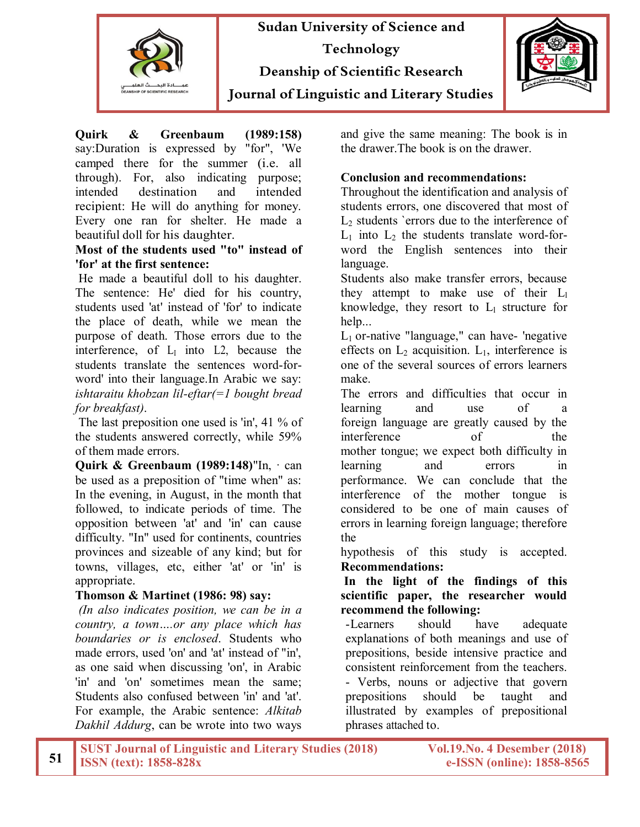



**Quirk & Greenbaum (1989:158)**  say:Duration is expressed by "for", 'We camped there for the summer (i.e. all through). For, also indicating purpose; intended destination and intended recipient: He will do anything for money. Every one ran for shelter. He made a beautiful doll for his daughter.

#### **Most of the students used "to" instead of 'for' at the first sentence:**

He made a beautiful doll to his daughter. The sentence: He' died for his country, students used 'at' instead of 'for' to indicate the place of death, while we mean the purpose of death. Those errors due to the interference, of  $L<sub>I</sub>$  into L2, because the students translate the sentences word-forword' into their language.In Arabic we say: *ishtaraitu khobzan lil-eftar(=1 bought bread for breakfast)*.

The last preposition one used is 'in', 41 % of the students answered correctly, while 59% of them made errors.

**Quirk & Greenbaum (1989:148)**"In, · can be used as a preposition of "time when" as: In the evening, in August, in the month that followed, to indicate periods of time. The opposition between 'at' and 'in' can cause difficulty. "In" used for continents, countries provinces and sizeable of any kind; but for towns, villages, etc, either 'at' or 'in' is appropriate.

### **Thomson & Martinet (1986: 98) say:**

*(In also indicates position, we can be in a country, a town….or any place which has boundaries or is enclosed*. Students who made errors, used 'on' and 'at' instead of "in', as one said when discussing 'on', in Arabic 'in' and 'on' sometimes mean the same; Students also confused between 'in' and 'at'. For example, the Arabic sentence: *Alkitab Dakhil Addurg*, can be wrote into two ways

and give the same meaning: The book is in the drawer.The book is on the drawer.

## **Conclusion and recommendations:**

Throughout the identification and analysis of students errors, one discovered that most of  $L<sub>2</sub>$  students `errors due to the interference of  $L_1$  into  $L_2$  the students translate word-forword the English sentences into their language.

Students also make transfer errors, because they attempt to make use of their L<sub>1</sub> knowledge, they resort to  $L_1$  structure for help...

 $L_1$  or-native "language," can have- 'negative effects on  $L_2$  acquisition.  $L_1$ , interference is one of the several sources of errors learners make.

The errors and difficulties that occur in learning and use of a foreign language are greatly caused by the interference of the mother tongue; we expect both difficulty in learning and errors in performance. We can conclude that the interference of the mother tongue is considered to be one of main causes of errors in learning foreign language; therefore the

hypothesis of this study is accepted. **Recommendations:**

**In the light of the findings of this scientific paper, the researcher would recommend the following:**

-Learners should have adequate explanations of both meanings and use of prepositions, beside intensive practice and consistent reinforcement from the teachers.

- Verbs, nouns or adjective that govern prepositions should be taught and illustrated by examples of prepositional phrases attached to.